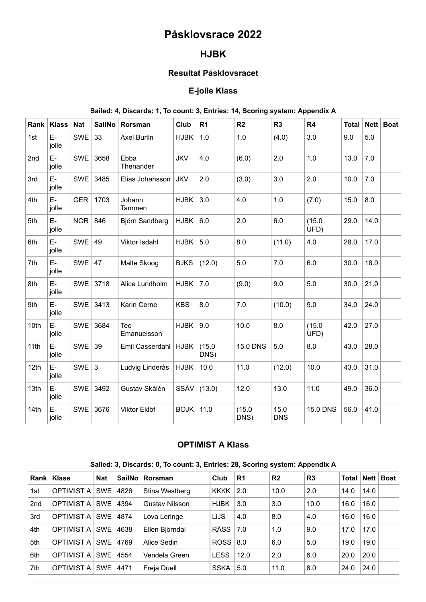# **Påsklovsrace 2022**

# **HJBK**

#### **Resultat Påsklovsracet**

### **E-jolle Klass**

#### **Sailed: 4, Discards: 1, To count: 3, Entries: 14, Scoring system: Appendix A**

| Rank | <b>Klass</b> | <b>Nat</b> | <b>SailNo</b> | Rorsman            | Club        | R <sub>1</sub> | R <sub>2</sub>  | R <sub>3</sub>     | R4              | Total | Net  | Boat |
|------|--------------|------------|---------------|--------------------|-------------|----------------|-----------------|--------------------|-----------------|-------|------|------|
| 1st  | E-<br>jolle  | <b>SWE</b> | 33            | <b>Axel Burlin</b> | <b>HJBK</b> | 1.0            | 1.0             | (4.0)              | 3.0             | 9.0   | 5.0  |      |
| 2nd  | E-<br>jolle  | <b>SWE</b> | 3658          | Ebba<br>Thenander  | <b>JKV</b>  | 4.0            | (6.0)           | 2.0                | 1.0             | 13.0  | 7.0  |      |
| 3rd  | E-<br>jolle  | <b>SWE</b> | 3485          | Elias Johansson    | <b>JKV</b>  | 2.0            | (3.0)           | 3.0                | 2.0             | 10.0  | 7.0  |      |
| 4th  | E-<br>jolle  | <b>GER</b> | 1703          | Johann<br>Tammen   | <b>HJBK</b> | 3.0            | 4.0             | 1.0                | (7.0)           | 15.0  | 8.0  |      |
| 5th  | E-<br>jolle  | <b>NOR</b> | 846           | Björn Sandberg     | <b>HJBK</b> | 6.0            | 2.0             | 6.0                | (15.0)<br>UFD)  | 29.0  | 14.0 |      |
| 6th  | E-<br>jolle  | <b>SWE</b> | 49            | Viktor Isdahl      | <b>HJBK</b> | 5.0            | 8.0             | (11.0)             | 4.0             | 28.0  | 17.0 |      |
| 7th  | E-<br>jolle  | SWE $ 47$  |               | Malte Skoog        | <b>BJKS</b> | (12.0)         | 5.0             | 7.0                | 6.0             | 30.0  | 18.0 |      |
| 8th  | E-<br>jolle  |            | SWE 3718      | Alice Lundholm     | <b>HJBK</b> | 7.0            | (9.0)           | 9.0                | 5.0             | 30.0  | 21.0 |      |
| 9th  | E-<br>jolle  |            | SWE 3413      | Karin Cerne        | <b>KBS</b>  | 8.0            | 7.0             | (10.0)             | 9.0             | 34.0  | 24.0 |      |
| 10th | E-<br>jolle  |            | SWE 3684      | Teo<br>Emanuelsson | <b>HJBK</b> | 9.0            | 10.0            | 8.0                | (15.0)<br>UFD)  | 42.0  | 27.0 |      |
| 11th | E-<br>jolle  | SWE $39$   |               | Emil Casserdahl    | <b>HJBK</b> | (15.0)<br>DNS) | <b>15.0 DNS</b> | 5.0                | 8.0             | 43.0  | 28.0 |      |
| 12th | E-<br>jolle  | SWE $3$    |               | Ludvig Linderås    | <b>HJBK</b> | 10.0           | 11.0            | (12.0)             | 10.0            | 43.0  | 31.0 |      |
| 13th | E-<br>jolle  | <b>SWE</b> | 3492          | Gustav Skålén      | SSÅV        | (13.0)         | 12.0            | 13.0               | 11.0            | 49.0  | 36.0 |      |
| 14th | E-<br>jolle  | <b>SWE</b> | 3676          | Viktor Eklöf       | <b>BOJK</b> | 11.0           | (15.0)<br>DNS)  | 15.0<br><b>DNS</b> | <b>15.0 DNS</b> | 56.0  | 41.0 |      |

## **OPTIMIST A Klass**

| Sailed: 3, Discards: 0, To count: 3, Entries: 28, Scoring system: Appendix A |  |  |  |  |  |
|------------------------------------------------------------------------------|--|--|--|--|--|
|------------------------------------------------------------------------------|--|--|--|--|--|

| Rank            | <b>Klass</b>      | <b>Nat</b> | SailNo | Rorsman        | Club          | R <sub>1</sub> | R <sub>2</sub> | R <sub>3</sub> |      |      | Total   Nett   Boat |
|-----------------|-------------------|------------|--------|----------------|---------------|----------------|----------------|----------------|------|------|---------------------|
| 1st             | <b>OPTIMIST A</b> | <b>SWE</b> | 4826   | Stina Westberg | <b>KKKK</b>   | 2.0            | 10.0           | 2.0            | 14.0 | 14.0 |                     |
| 2 <sub>nd</sub> | <b>OPTIMIST A</b> | <b>SWE</b> | 4394   | Gustav Nilsson | <b>HJBK</b>   | 3.0            | 3.0            | 10.0           | 16.0 | 16.0 |                     |
| 3rd             | <b>OPTIMIST A</b> | <b>SWE</b> | 4874   | Lova Leringe   | LiJS          | 4.0            | 8.0            | 4.0            | 16.0 | 16.0 |                     |
| 4th             | <b>OPTIMIST A</b> | <b>SWE</b> | 4638   | Ellen Björndal | <b>RÅSS</b>   | 7.0            | 1.0            | 9.0            | 17.0 | 17.0 |                     |
| 5th             | <b>OPTIMIST A</b> | <b>SWE</b> | 4769   | Alice Sedin    | $RÖSS$ $ 8.0$ |                | 6.0            | 5.0            | 19.0 | 19.0 |                     |
| 6th             | <b>OPTIMIST A</b> | <b>SWE</b> | 4554   | Vendela Green  | <b>LESS</b>   | 12.0           | 2.0            | 6.0            | 20.0 | 20.0 |                     |
| 7th             | <b>OPTIMIST A</b> | <b>SWE</b> | 4471   | Freja Duell    | <b>SSKA</b>   | 5.0            | 11.0           | 8.0            | 24.0 | 24.0 |                     |